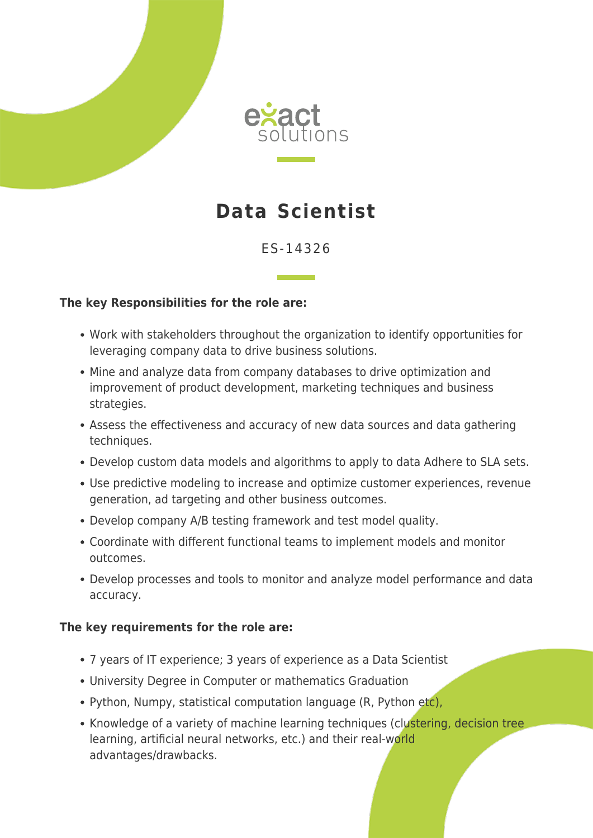



# **Data Scientist**

# ES-14326

### **The key Responsibilities for the role are:**

- Work with stakeholders throughout the organization to identify opportunities for leveraging company data to drive business solutions.
- Mine and analyze data from company databases to drive optimization and improvement of product development, marketing techniques and business strategies.
- Assess the effectiveness and accuracy of new data sources and data gathering techniques.
- Develop custom data models and algorithms to apply to data Adhere to SLA sets.
- Use predictive modeling to increase and optimize customer experiences, revenue generation, ad targeting and other business outcomes.
- Develop company A/B testing framework and test model quality.
- Coordinate with different functional teams to implement models and monitor outcomes.
- Develop processes and tools to monitor and analyze model performance and data accuracy.

#### **The key requirements for the role are:**

- 7 years of IT experience; 3 years of experience as a Data Scientist
- University Degree in Computer or mathematics Graduation
- Python, Numpy, statistical computation language (R, Python etc),
- Knowledge of a variety of machine learning techniques (clustering, decision tree learning, artificial neural networks, etc.) and their real-world advantages/drawbacks.